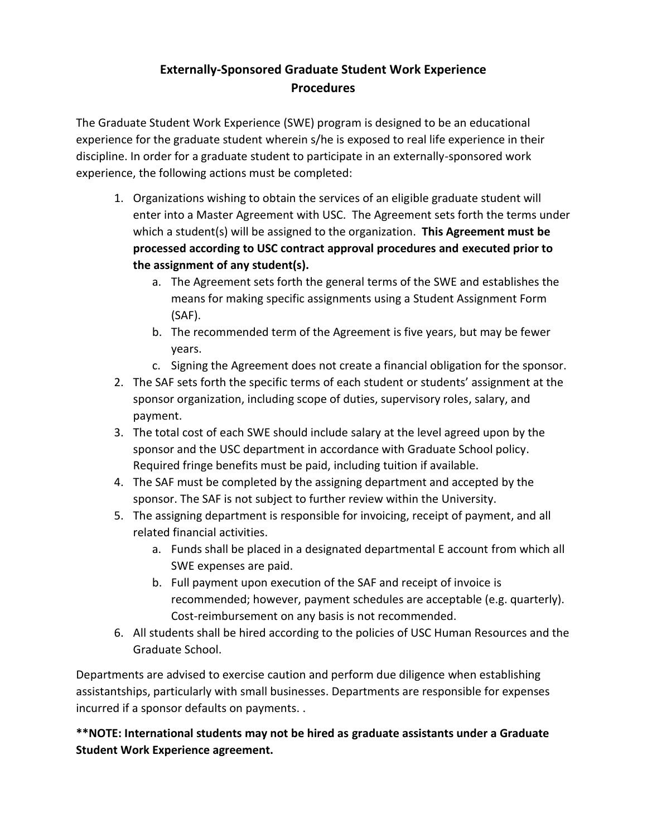# **Externally-Sponsored Graduate Student Work Experience Procedures**

The Graduate Student Work Experience (SWE) program is designed to be an educational experience for the graduate student wherein s/he is exposed to real life experience in their discipline. In order for a graduate student to participate in an externally-sponsored work experience, the following actions must be completed:

- 1. Organizations wishing to obtain the services of an eligible graduate student will enter into a Master Agreement with USC. The Agreement sets forth the terms under which a student(s) will be assigned to the organization. **This Agreement must be processed according to USC contract approval procedures and executed prior to the assignment of any student(s).** 
	- a. The Agreement sets forth the general terms of the SWE and establishes the means for making specific assignments using a Student Assignment Form (SAF).
	- b. The recommended term of the Agreement is five years, but may be fewer years.
	- c. Signing the Agreement does not create a financial obligation for the sponsor.
- 2. The SAF sets forth the specific terms of each student or students' assignment at the sponsor organization, including scope of duties, supervisory roles, salary, and payment.
- 3. The total cost of each SWE should include salary at the level agreed upon by the sponsor and the USC department in accordance with Graduate School policy. Required fringe benefits must be paid, including tuition if available.
- 4. The SAF must be completed by the assigning department and accepted by the sponsor. The SAF is not subject to further review within the University.
- 5. The assigning department is responsible for invoicing, receipt of payment, and all related financial activities.
	- a. Funds shall be placed in a designated departmental E account from which all SWE expenses are paid.
	- b. Full payment upon execution of the SAF and receipt of invoice is recommended; however, payment schedules are acceptable (e.g. quarterly). Cost-reimbursement on any basis is not recommended.
- 6. All students shall be hired according to the policies of USC Human Resources and the Graduate School.

Departments are advised to exercise caution and perform due diligence when establishing assistantships, particularly with small businesses. Departments are responsible for expenses incurred if a sponsor defaults on payments. .

**\*\*NOTE: International students may not be hired as graduate assistants under a Graduate Student Work Experience agreement.**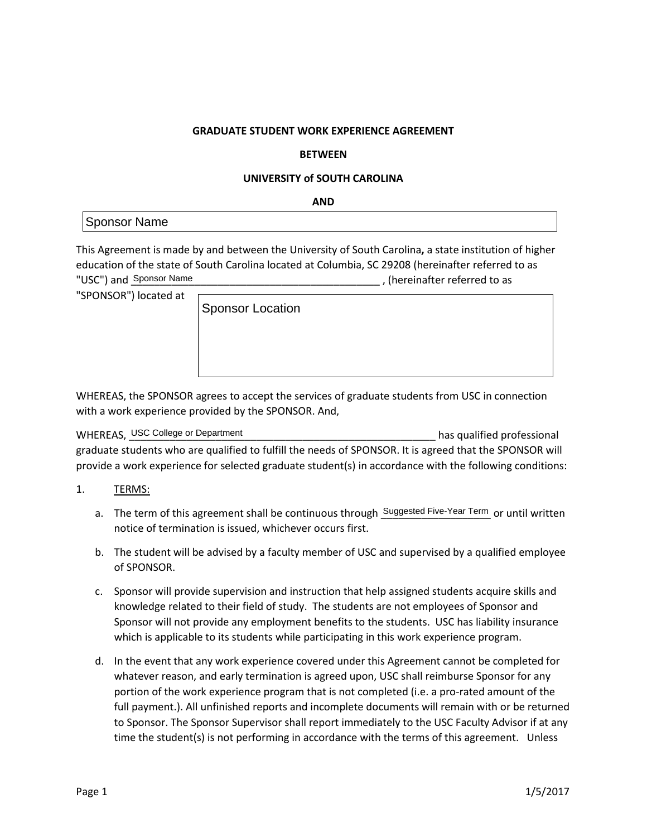#### **GRADUATE STUDENT WORK EXPERIENCE AGREEMENT**

#### **BETWEEN**

#### **UNIVERSITY of SOUTH CAROLINA**

**AND**

### Sponsor Name

This Agreement is made by and between the University of South Carolina**,** a state institution of higher education of the state of South Carolina located at Columbia, SC 29208 (hereinafter referred to as , (hereinafter referred to as "USC") and Sponsor Name

"SPONSOR") located at

Sponsor Location

WHEREAS, the SPONSOR agrees to accept the services of graduate students from USC in connection with a work experience provided by the SPONSOR. And,

WHEREAS, USC College or Department **Exercise 20 and College 20 and College 20** has qualified professional graduate students who are qualified to fulfill the needs of SPONSOR. It is agreed that the SPONSOR will provide a work experience for selected graduate student(s) in accordance with the following conditions:

- 1. TERMS:
	- a. The term of this agreement shall be continuous through Suggested Five-Year Term or until written notice of termination is issued, whichever occurs first.
	- b. The student will be advised by a faculty member of USC and supervised by a qualified employee of SPONSOR.
	- c. Sponsor will provide supervision and instruction that help assigned students acquire skills and knowledge related to their field of study. The students are not employees of Sponsor and Sponsor will not provide any employment benefits to the students. USC has liability insurance which is applicable to its students while participating in this work experience program.
	- d. In the event that any work experience covered under this Agreement cannot be completed for whatever reason, and early termination is agreed upon, USC shall reimburse Sponsor for any portion of the work experience program that is not completed (i.e. a pro-rated amount of the full payment.). All unfinished reports and incomplete documents will remain with or be returned to Sponsor. The Sponsor Supervisor shall report immediately to the USC Faculty Advisor if at any time the student(s) is not performing in accordance with the terms of this agreement. Unless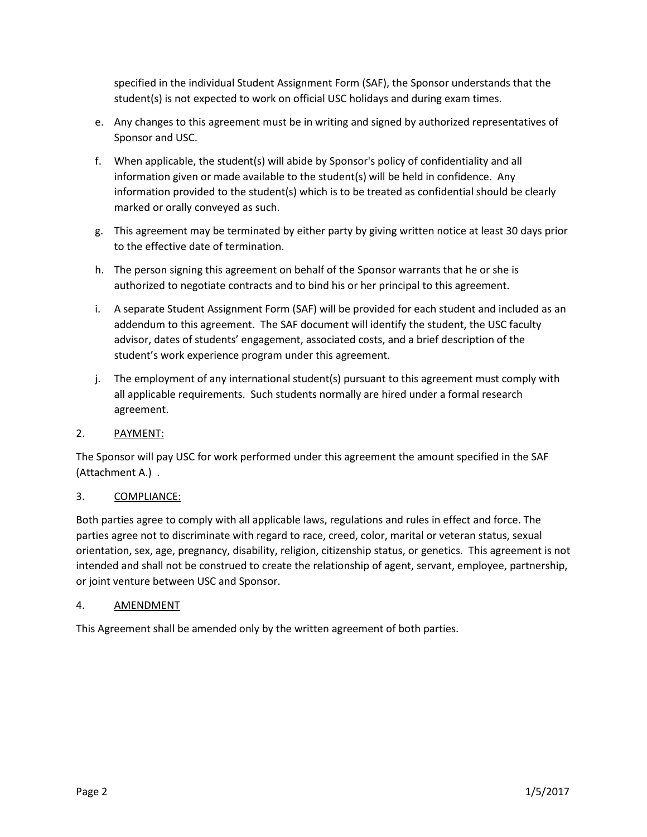specified in the individual Student Assignment Form (SAF), the Sponsor understands that the student(s) is not expected to work on official USC holidays and during exam times.

- e. Any changes to this agreement must be in writing and signed by authorized representatives of Sponsor and USC.
- f. When applicable, the student(s) will abide by Sponsor's policy of confidentiality and all information given or made available to the student(s) will be held in confidence. Any information provided to the student(s) which is to be treated as confidential should be clearly marked or orally conveyed as such.
- g. This agreement may be terminated by either party by giving written notice at least 30 days prior to the effective date of termination.
- h. The person signing this agreement on behalf of the Sponsor warrants that he or she is authorized to negotiate contracts and to bind his or her principal to this agreement.
- i. A separate Student Assignment Form (SAF) will be provided for each student and included as an addendum to this agreement. The SAF document will identify the student, the USC faculty advisor, dates of students' engagement, associated costs, and a brief description of the student's work experience program under this agreement.
- j. The employment of any international student(s) pursuant to this agreement must comply with all applicable requirements. Such students normally are hired under a formal research agreement.

### 2. PAYMENT:

The Sponsor will pay USC for work performed under this agreement the amount specified in the SAF (Attachment A.) .

## 3. COMPLIANCE:

Both parties agree to comply with all applicable laws, regulations and rules in effect and force. The parties agree not to discriminate with regard to race, creed, color, marital or veteran status, sexual orientation, sex, age, pregnancy, disability, religion, citizenship status, or genetics. This agreement is not intended and shall not be construed to create the relationship of agent, servant, employee, partnership, or joint venture between USC and Sponsor.

### 4. AMENDMENT

This Agreement shall be amended only by the written agreement of both parties.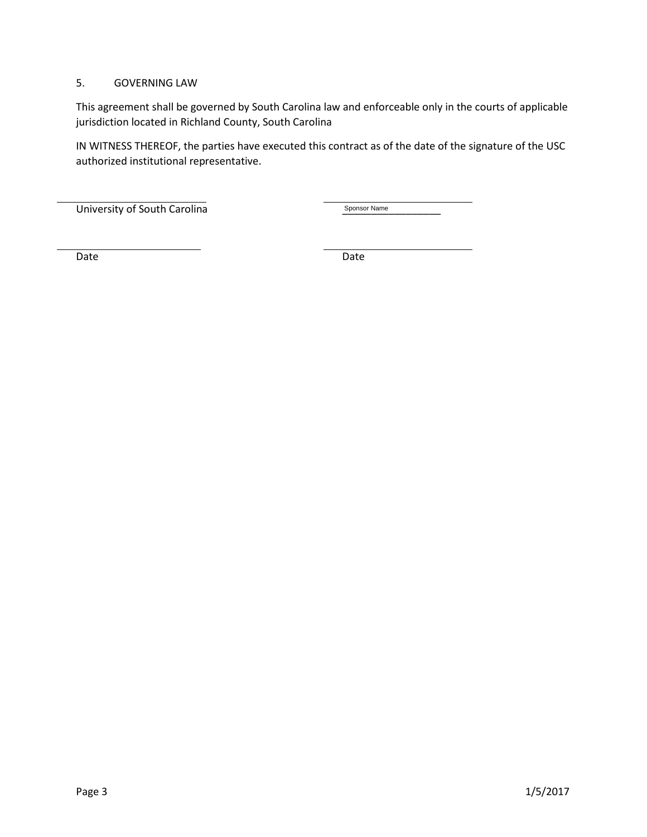### 5. GOVERNING LAW

This agreement shall be governed by South Carolina law and enforceable only in the courts of applicable jurisdiction located in Richland County, South Carolina

IN WITNESS THEREOF, the parties have executed this contract as of the date of the signature of the USC authorized institutional representative.

University of South Carolina \_\_\_\_\_\_\_\_\_\_\_\_\_\_\_\_\_

Sponsor Name

Date **Date** Date **Date** Date **Date**